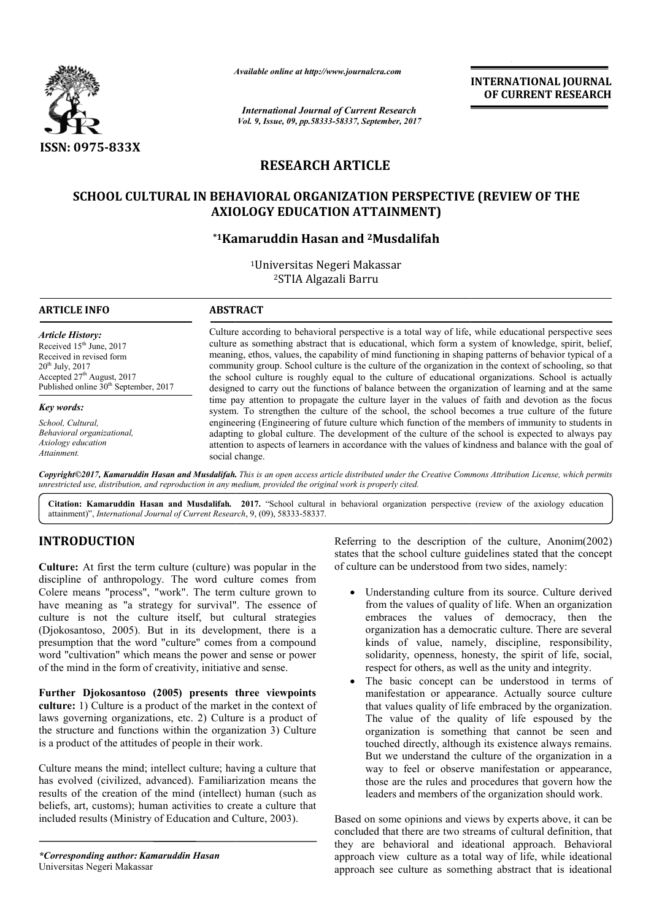

*Available online at http://www.journalcra.com*

*International Journal of Current Research Vol. 9, Issue, 09, pp.58333-58337, September, 2017* **INTERNATIONAL JOURNAL OF CURRENT RESEARCH**

# **RESEARCH ARTICLE**

# **SCHOOL CULTURAL IN BEHAVIORAL ORGANIZATION PERSPECTIVE (REVIEW OF THE (REVIEW OF AXIOLOGY EDUCATION ATTAINMENT)**

## **\*1Kamaruddin Kamaruddin Hasan and 2Musdalifah**

1Universitas Negeri Makassar 2STIA Algazali Barru

#### **ARTICLE INFO ABSTRACT**

*Article History:* Received 15<sup>th</sup> June, 2017 Received in revised form 20th July, 2017 Accepted 27<sup>th</sup> August, 2017 Published online 30<sup>th</sup> September, 2017

*Key words:*

*School, Cultural, Behavioral organizational, Axiology education Attainment.*

Culture according to behavioral perspective is a total way of life, while educational perspective sees Culture according to behavioral perspective is a total way of life, while educational perspective sees culture as something abstract that is educational, which form a system of knowledge, spirit, belief, meaning, ethos, values, the capability of mind functioning in shaping patterns of behavior typical of a community group. School culture is the culture of the organization in the context of schooling, so that the school culture is roughly equal to the culture of educational organizations. designed to carry out the functions of balance between the organization of learning and at the same designed to carry out the functions of balance between the organization of learning and at the same<br>time pay attention to propagate the culture layer in the values of faith and devotion as the focus system. To strengthen the culture of the school, the school becomes a true culture of the future engineering (Engineering of future culture which function of the members of immunity to students in adapting to global culture. The development of the culture of the school is expected to always pay system. To strengthen the culture of the school, the school becomes a true culture of the future<br>engineering (Engineering of future culture which function of the members of immunity to students in<br>adapting to global cultur social change. meaning, ethos, values, the capability of mind functioning in shaping patterns of behavior typical of a community group. School culture is the culture of the organization in the context of schooling, so that the school cul **EXERCTIONAL JOURNAL SEARCHES (SEARCHEST)**<br> **EXERCT THE CULTURE CONSTRANT CONSTRANT CONSTRANT CONSTRANT CONSTRANT CONSTRANT TO THE CONSTRANT TO USE (SEARCHEST) USES (SEARCHEST) (INCREDIT TO USE (SEARCHEST) (INCREDIT TO US** 

Copyright©2017, Kamaruddin Hasan and Musdalifah. This is an open access article distributed under the Creative Commons Attribution License, which permits unrestricted use, distribution, and reproduction in any medium, provided the original work is properly cited.

Citation: Kamaruddin Hasan and Musdalifah. 2017. "School cultural in behavioral organization perspective (review of the axiology education attainment)", *International Journal of Current Research* , 9, (09), 58333-58337.

# **INTRODUCTION**

**Culture:** At first the term culture (culture) was popular in the discipline of anthropology. The word culture comes from Colere means "process", "work". The term culture grown to have meaning as "a strategy for survival". The essence of culture is not the culture itself, but cultural strategies (Djokosantoso, 2005). But in its development, there is a presumption that the word "culture" comes from a compound word "cultivation" which means the power and sense or power of the mind in the form of creativity, initiative a self, but cultural stra<br>its development, there<br>ure" comes from a comp<br>the power and sense or j<br>ity, initiative and sense.

**Further Djokosantoso (2005) presents three viewpoints culture:** 1) Culture is a product of the market in the context of laws governing organizations, etc. 2) Culture is a product of the structure and functions within the organization 3) Culture is a product of the attitudes of people in their work.

Culture means the mind; intellect culture; having a culture that has evolved (civilized, advanced). Familiarization means the results of the creation of the mind (intellect) human (such as beliefs, art, customs); human activities to create a culture that included results (Ministry of Education and Culture, 2003).

Referring to the description of the culture, Anonim(2002) states that the school culture guidelines stated that the concept of culture can be understood from two sides, namely:

- Understanding culture from its source. Culture derived from the values of quality of life. When an organization from the values of quality of life. When an organization embraces the values of democracy, then the organization has a democratic culture. There are several kinds of value, namely, discipline, responsibility, solidarity, openness, honesty, the spirit of life, social, respect for others, as well as the unity and integrity. kinds of value, namely, discipline, responsibility, solidarity, openness, honesty, the spirit of life, social, respect for others, as well as the unity and integrity. The basic concept can be understood in terms of manifes
- The basic concept can be understood in terms of manifestation or appearance. Actually source culture that values quality of life embraced by the organization. The value of the quality of life espoused by the organization is something that cannot be seen and touched directly, although its existence always remains. But we understand the culture of the organization in a way to feel or observe manifestation or appearance, those are the rules and procedures that govern how the leaders and members of the organization should work. that values quality of life embraced by the organization.<br>The value of the quality of life espoused by the organization is something that cannot be seen and touched directly, although its existence always remains. But we understand the culture of the organization in a<br>way to feel or observe manifestation or appearance,<br>those are the rules and procedures that govern how the<br>leaders and members of the organization should work.<br>on some

Based on some opinions and views by experts above, it can be concluded that there are two streams of cultural definition, that they are behavioral and ideational approach. Behavioral approach view culture as a total way of life, while ideational approach see culture as something abstract that is ideational

*<sup>\*</sup>Corresponding author: Kamaruddin Hasan*  Universitas Negeri Makassar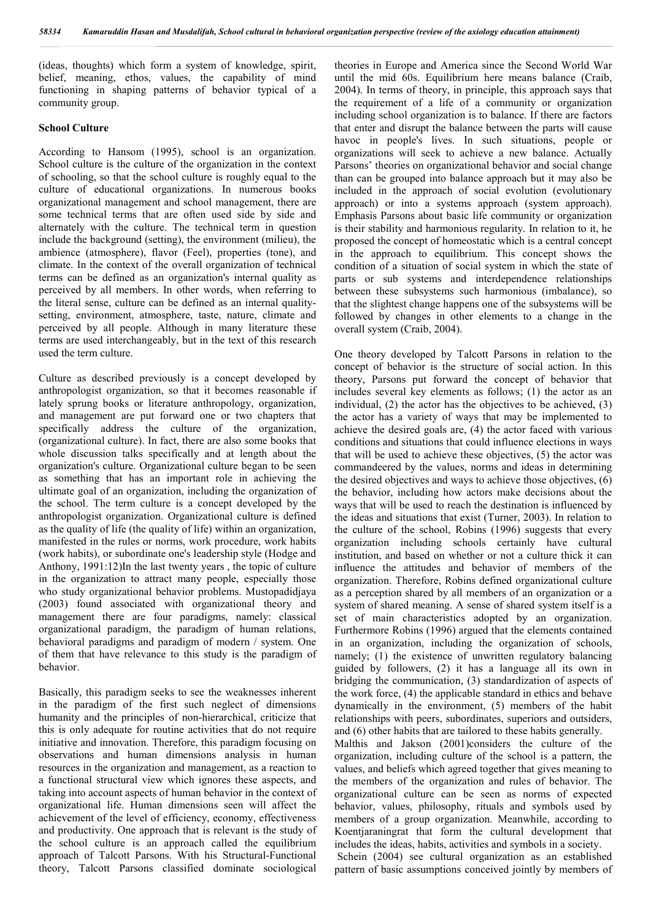(ideas, thoughts) which form a system of knowledge, spirit, belief, meaning, ethos, values, the capability of mind functioning in shaping patterns of behavior typical of a community group.

#### **School Culture**

According to Hansom (1995), school is an organization. School culture is the culture of the organization in the context of schooling, so that the school culture is roughly equal to the culture of educational organizations. In numerous books organizational management and school management, there are some technical terms that are often used side by side and alternately with the culture. The technical term in question include the background (setting), the environment (milieu), the ambience (atmosphere), flavor (Feel), properties (tone), and climate. In the context of the overall organization of technical terms can be defined as an organization's internal quality as perceived by all members. In other words, when referring to the literal sense, culture can be defined as an internal qualitysetting, environment, atmosphere, taste, nature, climate and perceived by all people. Although in many literature these terms are used interchangeably, but in the text of this research used the term culture.

Culture as described previously is a concept developed by anthropologist organization, so that it becomes reasonable if lately sprung books or literature anthropology, organization, and management are put forward one or two chapters that specifically address the culture of the organization, (organizational culture). In fact, there are also some books that whole discussion talks specifically and at length about the organization's culture. Organizational culture began to be seen as something that has an important role in achieving the ultimate goal of an organization, including the organization of the school. The term culture is a concept developed by the anthropologist organization. Organizational culture is defined as the quality of life (the quality of life) within an organization, manifested in the rules or norms, work procedure, work habits (work habits), or subordinate one's leadership style (Hodge and Anthony, 1991:12)In the last twenty years , the topic of culture in the organization to attract many people, especially those who study organizational behavior problems. Mustopadidjaya (2003) found associated with organizational theory and management there are four paradigms, namely: classical organizational paradigm, the paradigm of human relations, behavioral paradigms and paradigm of modern / system. One of them that have relevance to this study is the paradigm of behavior.

Basically, this paradigm seeks to see the weaknesses inherent in the paradigm of the first such neglect of dimensions humanity and the principles of non-hierarchical, criticize that this is only adequate for routine activities that do not require initiative and innovation. Therefore, this paradigm focusing on observations and human dimensions analysis in human resources in the organization and management, as a reaction to a functional structural view which ignores these aspects, and taking into account aspects of human behavior in the context of organizational life. Human dimensions seen will affect the achievement of the level of efficiency, economy, effectiveness and productivity. One approach that is relevant is the study of the school culture is an approach called the equilibrium approach of Talcott Parsons. With his Structural-Functional theory, Talcott Parsons classified dominate sociological

theories in Europe and America since the Second World War until the mid 60s. Equilibrium here means balance (Craib, 2004). In terms of theory, in principle, this approach says that the requirement of a life of a community or organization including school organization is to balance. If there are factors that enter and disrupt the balance between the parts will cause havoc in people's lives. In such situations, people or organizations will seek to achieve a new balance. Actually Parsons' theories on organizational behavior and social change than can be grouped into balance approach but it may also be included in the approach of social evolution (evolutionary approach) or into a systems approach (system approach). Emphasis Parsons about basic life community or organization is their stability and harmonious regularity. In relation to it, he proposed the concept of homeostatic which is a central concept in the approach to equilibrium. This concept shows the condition of a situation of social system in which the state of parts or sub systems and interdependence relationships between these subsystems such harmonious (imbalance), so that the slightest change happens one of the subsystems will be followed by changes in other elements to a change in the overall system (Craib, 2004).

One theory developed by Talcott Parsons in relation to the concept of behavior is the structure of social action. In this theory, Parsons put forward the concept of behavior that includes several key elements as follows; (1) the actor as an individual, (2) the actor has the objectives to be achieved, (3) the actor has a variety of ways that may be implemented to achieve the desired goals are, (4) the actor faced with various conditions and situations that could influence elections in ways that will be used to achieve these objectives, (5) the actor was commandeered by the values, norms and ideas in determining the desired objectives and ways to achieve those objectives, (6) the behavior, including how actors make decisions about the ways that will be used to reach the destination is influenced by the ideas and situations that exist (Turner, 2003). In relation to the culture of the school, Robins (1996) suggests that every organization including schools certainly have cultural institution, and based on whether or not a culture thick it can influence the attitudes and behavior of members of the organization. Therefore, Robins defined organizational culture as a perception shared by all members of an organization or a system of shared meaning. A sense of shared system itself is a set of main characteristics adopted by an organization. Furthermore Robins (1996) argued that the elements contained in an organization, including the organization of schools, namely; (1) the existence of unwritten regulatory balancing guided by followers, (2) it has a language all its own in bridging the communication, (3) standardization of aspects of the work force, (4) the applicable standard in ethics and behave dynamically in the environment, (5) members of the habit relationships with peers, subordinates, superiors and outsiders, and (6) other habits that are tailored to these habits generally.

Malthis and Jakson (2001)considers the culture of the organization, including culture of the school is a pattern, the values, and beliefs which agreed together that gives meaning to the members of the organization and rules of behavior. The organizational culture can be seen as norms of expected behavior, values, philosophy, rituals and symbols used by members of a group organization. Meanwhile, according to Koentiaraningrat that form the cultural development that includes the ideas, habits, activities and symbols in a society. Schein (2004) see cultural organization as an established pattern of basic assumptions conceived jointly by members of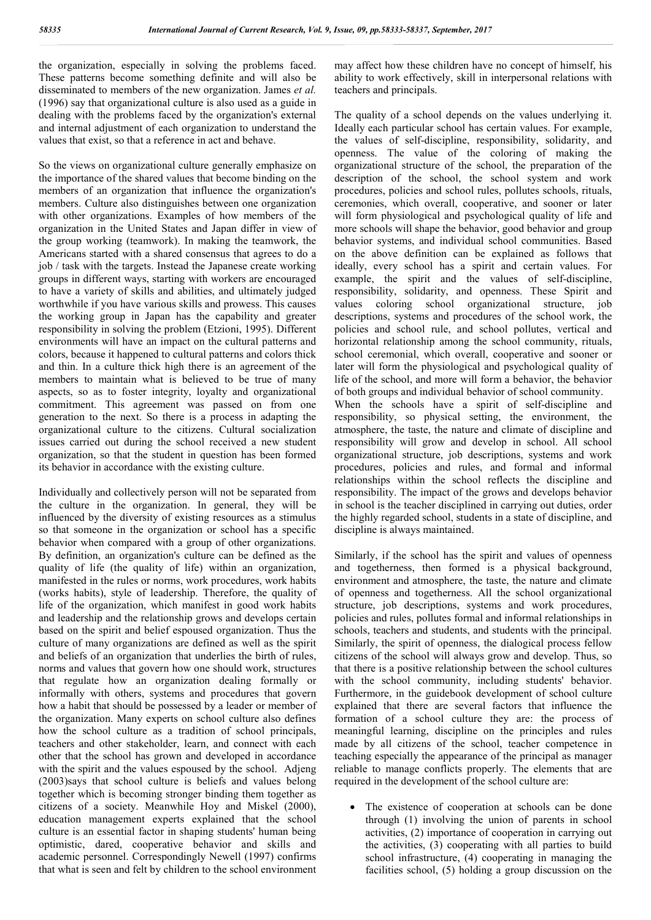the organization, especially in solving the problems faced. These patterns become something definite and will also be disseminated to members of the new organization. James *et al.* (1996) say that organizational culture is also used as a guide in dealing with the problems faced by the organization's external and internal adjustment of each organization to understand the values that exist, so that a reference in act and behave.

So the views on organizational culture generally emphasize on the importance of the shared values that become binding on the members of an organization that influence the organization's members. Culture also distinguishes between one organization with other organizations. Examples of how members of the organization in the United States and Japan differ in view of the group working (teamwork). In making the teamwork, the Americans started with a shared consensus that agrees to do a job / task with the targets. Instead the Japanese create working groups in different ways, starting with workers are encouraged to have a variety of skills and abilities, and ultimately judged worthwhile if you have various skills and prowess. This causes the working group in Japan has the capability and greater responsibility in solving the problem (Etzioni, 1995). Different environments will have an impact on the cultural patterns and colors, because it happened to cultural patterns and colors thick and thin. In a culture thick high there is an agreement of the members to maintain what is believed to be true of many aspects, so as to foster integrity, loyalty and organizational commitment. This agreement was passed on from one generation to the next. So there is a process in adapting the organizational culture to the citizens. Cultural socialization issues carried out during the school received a new student organization, so that the student in question has been formed its behavior in accordance with the existing culture.

Individually and collectively person will not be separated from the culture in the organization. In general, they will be influenced by the diversity of existing resources as a stimulus so that someone in the organization or school has a specific behavior when compared with a group of other organizations. By definition, an organization's culture can be defined as the quality of life (the quality of life) within an organization, manifested in the rules or norms, work procedures, work habits (works habits), style of leadership. Therefore, the quality of life of the organization, which manifest in good work habits and leadership and the relationship grows and develops certain based on the spirit and belief espoused organization. Thus the culture of many organizations are defined as well as the spirit and beliefs of an organization that underlies the birth of rules, norms and values that govern how one should work, structures that regulate how an organization dealing formally or informally with others, systems and procedures that govern how a habit that should be possessed by a leader or member of the organization. Many experts on school culture also defines how the school culture as a tradition of school principals, teachers and other stakeholder, learn, and connect with each other that the school has grown and developed in accordance with the spirit and the values espoused by the school. Adjeng (2003)says that school culture is beliefs and values belong together which is becoming stronger binding them together as citizens of a society. Meanwhile Hoy and Miskel (2000), education management experts explained that the school culture is an essential factor in shaping students' human being optimistic, dared, cooperative behavior and skills and academic personnel. Correspondingly Newell (1997) confirms that what is seen and felt by children to the school environment may affect how these children have no concept of himself, his ability to work effectively, skill in interpersonal relations with teachers and principals.

The quality of a school depends on the values underlying it. Ideally each particular school has certain values. For example, the values of self-discipline, responsibility, solidarity, and openness. The value of the coloring of making the organizational structure of the school, the preparation of the description of the school, the school system and work procedures, policies and school rules, pollutes schools, rituals, ceremonies, which overall, cooperative, and sooner or later will form physiological and psychological quality of life and more schools will shape the behavior, good behavior and group behavior systems, and individual school communities. Based on the above definition can be explained as follows that ideally, every school has a spirit and certain values. For example, the spirit and the values of self-discipline, responsibility, solidarity, and openness. These Spirit and values coloring school organizational structure, job descriptions, systems and procedures of the school work, the policies and school rule, and school pollutes, vertical and horizontal relationship among the school community, rituals, school ceremonial, which overall, cooperative and sooner or later will form the physiological and psychological quality of life of the school, and more will form a behavior, the behavior of both groups and individual behavior of school community. When the schools have a spirit of self-discipline and responsibility, so physical setting, the environment, the atmosphere, the taste, the nature and climate of discipline and responsibility will grow and develop in school. All school organizational structure, job descriptions, systems and work procedures, policies and rules, and formal and informal relationships within the school reflects the discipline and

responsibility. The impact of the grows and develops behavior in school is the teacher disciplined in carrying out duties, order the highly regarded school, students in a state of discipline, and discipline is always maintained.

Similarly, if the school has the spirit and values of openness and togetherness, then formed is a physical background, environment and atmosphere, the taste, the nature and climate of openness and togetherness. All the school organizational structure, job descriptions, systems and work procedures, policies and rules, pollutes formal and informal relationships in schools, teachers and students, and students with the principal. Similarly, the spirit of openness, the dialogical process fellow citizens of the school will always grow and develop. Thus, so that there is a positive relationship between the school cultures with the school community, including students' behavior. Furthermore, in the guidebook development of school culture explained that there are several factors that influence the formation of a school culture they are: the process of meaningful learning, discipline on the principles and rules made by all citizens of the school, teacher competence in teaching especially the appearance of the principal as manager reliable to manage conflicts properly. The elements that are required in the development of the school culture are:

 The existence of cooperation at schools can be done through (1) involving the union of parents in school activities, (2) importance of cooperation in carrying out the activities, (3) cooperating with all parties to build school infrastructure, (4) cooperating in managing the facilities school, (5) holding a group discussion on the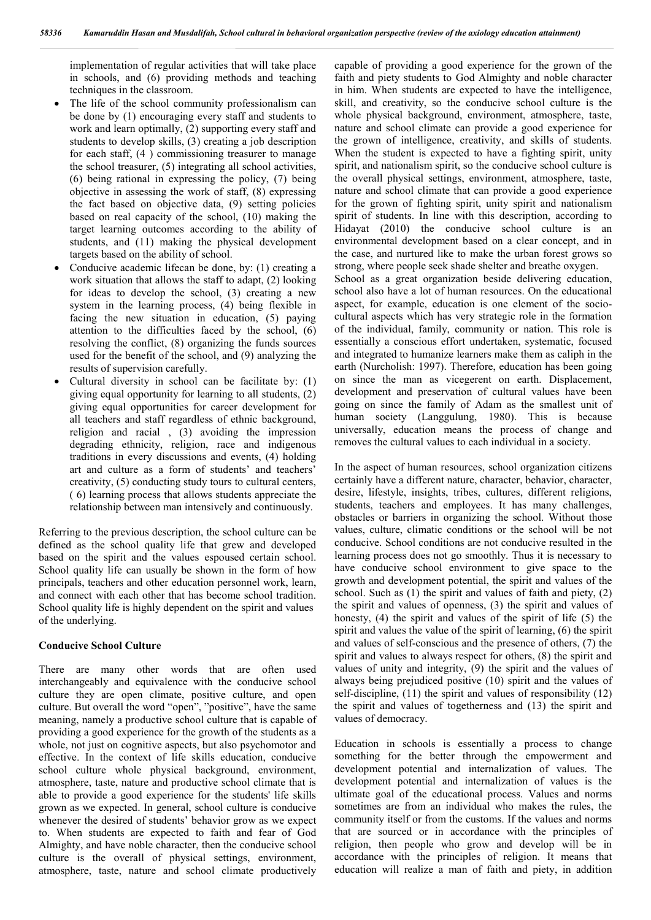implementation of regular activities that will take place in schools, and (6) providing methods and teaching techniques in the classroom.

- The life of the school community professionalism can be done by (1) encouraging every staff and students to work and learn optimally, (2) supporting every staff and students to develop skills, (3) creating a job description for each staff, (4 ) commissioning treasurer to manage the school treasurer, (5) integrating all school activities, (6) being rational in expressing the policy, (7) being objective in assessing the work of staff, (8) expressing the fact based on objective data, (9) setting policies based on real capacity of the school, (10) making the target learning outcomes according to the ability of students, and (11) making the physical development targets based on the ability of school.
- Conducive academic lifecan be done, by: (1) creating a work situation that allows the staff to adapt, (2) looking for ideas to develop the school, (3) creating a new system in the learning process, (4) being flexible in facing the new situation in education, (5) paying attention to the difficulties faced by the school, (6) resolving the conflict, (8) organizing the funds sources used for the benefit of the school, and (9) analyzing the results of supervision carefully.
- Cultural diversity in school can be facilitate by: (1) giving equal opportunity for learning to all students, (2) giving equal opportunities for career development for all teachers and staff regardless of ethnic background, religion and racial , (3) avoiding the impression degrading ethnicity, religion, race and indigenous traditions in every discussions and events, (4) holding art and culture as a form of students' and teachers' creativity, (5) conducting study tours to cultural centers, ( 6) learning process that allows students appreciate the relationship between man intensively and continuously.

Referring to the previous description, the school culture can be defined as the school quality life that grew and developed based on the spirit and the values espoused certain school. School quality life can usually be shown in the form of how principals, teachers and other education personnel work, learn, and connect with each other that has become school tradition. School quality life is highly dependent on the spirit and values of the underlying.

#### **Conducive School Culture**

There are many other words that are often used interchangeably and equivalence with the conducive school culture they are open climate, positive culture, and open culture. But overall the word "open", "positive", have the same meaning, namely a productive school culture that is capable of providing a good experience for the growth of the students as a whole, not just on cognitive aspects, but also psychomotor and effective. In the context of life skills education, conducive school culture whole physical background, environment, atmosphere, taste, nature and productive school climate that is able to provide a good experience for the students' life skills grown as we expected. In general, school culture is conducive whenever the desired of students' behavior grow as we expect to. When students are expected to faith and fear of God Almighty, and have noble character, then the conducive school culture is the overall of physical settings, environment, atmosphere, taste, nature and school climate productively capable of providing a good experience for the grown of the faith and piety students to God Almighty and noble character in him. When students are expected to have the intelligence, skill, and creativity, so the conducive school culture is the whole physical background, environment, atmosphere, taste, nature and school climate can provide a good experience for the grown of intelligence, creativity, and skills of students. When the student is expected to have a fighting spirit, unity spirit, and nationalism spirit, so the conducive school culture is the overall physical settings, environment, atmosphere, taste, nature and school climate that can provide a good experience for the grown of fighting spirit, unity spirit and nationalism spirit of students. In line with this description, according to Hidayat (2010) the conducive school culture is an environmental development based on a clear concept, and in the case, and nurtured like to make the urban forest grows so strong, where people seek shade shelter and breathe oxygen. School as a great organization beside delivering education,

school also have a lot of human resources. On the educational aspect, for example, education is one element of the sociocultural aspects which has very strategic role in the formation of the individual, family, community or nation. This role is essentially a conscious effort undertaken, systematic, focused and integrated to humanize learners make them as caliph in the earth (Nurcholish: 1997). Therefore, education has been going on since the man as vicegerent on earth. Displacement, development and preservation of cultural values have been going on since the family of Adam as the smallest unit of human society (Langgulung, 1980). This is because universally, education means the process of change and removes the cultural values to each individual in a society.

In the aspect of human resources, school organization citizens certainly have a different nature, character, behavior, character, desire, lifestyle, insights, tribes, cultures, different religions, students, teachers and employees. It has many challenges, obstacles or barriers in organizing the school. Without those values, culture, climatic conditions or the school will be not conducive. School conditions are not conducive resulted in the learning process does not go smoothly. Thus it is necessary to have conducive school environment to give space to the growth and development potential, the spirit and values of the school. Such as (1) the spirit and values of faith and piety, (2) the spirit and values of openness, (3) the spirit and values of honesty, (4) the spirit and values of the spirit of life (5) the spirit and values the value of the spirit of learning, (6) the spirit and values of self-conscious and the presence of others, (7) the spirit and values to always respect for others, (8) the spirit and values of unity and integrity, (9) the spirit and the values of always being prejudiced positive (10) spirit and the values of self-discipline, (11) the spirit and values of responsibility (12) the spirit and values of togetherness and (13) the spirit and values of democracy.

Education in schools is essentially a process to change something for the better through the empowerment and development potential and internalization of values. The development potential and internalization of values is the ultimate goal of the educational process. Values and norms sometimes are from an individual who makes the rules, the community itself or from the customs. If the values and norms that are sourced or in accordance with the principles of religion, then people who grow and develop will be in accordance with the principles of religion. It means that education will realize a man of faith and piety, in addition